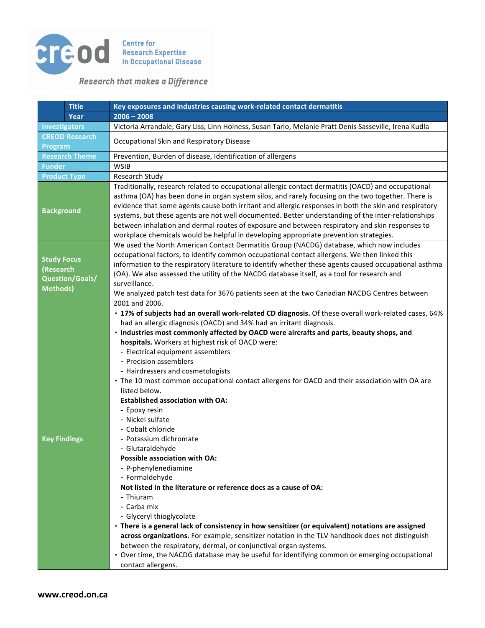

## Research that makes a Difference

| <b>Title</b>                                                          | Key exposures and industries causing work-related contact dermatitis                                                                                                                                                                                                                                                                                                                                                                                                                                                                                                                                                                                                                                                                                                                                                                                                                                                                                                                                                                                                                                                                                                                                                                                                                                          |
|-----------------------------------------------------------------------|---------------------------------------------------------------------------------------------------------------------------------------------------------------------------------------------------------------------------------------------------------------------------------------------------------------------------------------------------------------------------------------------------------------------------------------------------------------------------------------------------------------------------------------------------------------------------------------------------------------------------------------------------------------------------------------------------------------------------------------------------------------------------------------------------------------------------------------------------------------------------------------------------------------------------------------------------------------------------------------------------------------------------------------------------------------------------------------------------------------------------------------------------------------------------------------------------------------------------------------------------------------------------------------------------------------|
| Year                                                                  | $2006 - 2008$                                                                                                                                                                                                                                                                                                                                                                                                                                                                                                                                                                                                                                                                                                                                                                                                                                                                                                                                                                                                                                                                                                                                                                                                                                                                                                 |
| <b>Investigators</b>                                                  | Victoria Arrandale, Gary Liss, Linn Holness, Susan Tarlo, Melanie Pratt Denis Sasseville, Irena Kudla                                                                                                                                                                                                                                                                                                                                                                                                                                                                                                                                                                                                                                                                                                                                                                                                                                                                                                                                                                                                                                                                                                                                                                                                         |
| <b>CREOD Research</b><br>Program                                      | Occupational Skin and Respiratory Disease                                                                                                                                                                                                                                                                                                                                                                                                                                                                                                                                                                                                                                                                                                                                                                                                                                                                                                                                                                                                                                                                                                                                                                                                                                                                     |
| <b>Research Theme</b>                                                 | Prevention, Burden of disease, Identification of allergens                                                                                                                                                                                                                                                                                                                                                                                                                                                                                                                                                                                                                                                                                                                                                                                                                                                                                                                                                                                                                                                                                                                                                                                                                                                    |
| <b>Funder</b>                                                         | <b>WSIB</b>                                                                                                                                                                                                                                                                                                                                                                                                                                                                                                                                                                                                                                                                                                                                                                                                                                                                                                                                                                                                                                                                                                                                                                                                                                                                                                   |
| <b>Product Type</b>                                                   | Research Study                                                                                                                                                                                                                                                                                                                                                                                                                                                                                                                                                                                                                                                                                                                                                                                                                                                                                                                                                                                                                                                                                                                                                                                                                                                                                                |
| <b>Background</b>                                                     | Traditionally, research related to occupational allergic contact dermatitis (OACD) and occupational<br>asthma (OA) has been done in organ system silos, and rarely focusing on the two together. There is<br>evidence that some agents cause both irritant and allergic responses in both the skin and respiratory<br>systems, but these agents are not well documented. Better understanding of the inter-relationships<br>between inhalation and dermal routes of exposure and between respiratory and skin responses to<br>workplace chemicals would be helpful in developing appropriate prevention strategies.                                                                                                                                                                                                                                                                                                                                                                                                                                                                                                                                                                                                                                                                                           |
| <b>Study Focus</b><br>(Research<br>Question/Goals/<br><b>Methods)</b> | We used the North American Contact Dermatitis Group (NACDG) database, which now includes<br>occupational factors, to identify common occupational contact allergens. We then linked this<br>information to the respiratory literature to identify whether these agents caused occupational asthma<br>(OA). We also assessed the utility of the NACDG database itself, as a tool for research and<br>surveillance.<br>We analyzed patch test data for 3676 patients seen at the two Canadian NACDG Centres between<br>2001 and 2006.                                                                                                                                                                                                                                                                                                                                                                                                                                                                                                                                                                                                                                                                                                                                                                           |
| <b>Key Findings</b>                                                   | · 17% of subjects had an overall work-related CD diagnosis. Of these overall work-related cases, 64%<br>had an allergic diagnosis (OACD) and 34% had an irritant diagnosis.<br>· Industries most commonly affected by OACD were aircrafts and parts, beauty shops, and<br>hospitals. Workers at highest risk of OACD were:<br>- Electrical equipment assemblers<br>- Precision assemblers<br>- Hairdressers and cosmetologists<br>• The 10 most common occupational contact allergens for OACD and their association with OA are<br>listed below.<br><b>Established association with OA:</b><br>- Epoxy resin<br>- Nickel sulfate<br>- Cobalt chloride<br>- Potassium dichromate<br>- Glutaraldehyde<br>Possible association with OA:<br>- P-phenylenediamine<br>- Formaldehyde<br>Not listed in the literature or reference docs as a cause of OA:<br>- Thiuram<br>- Carba mix<br>- Glyceryl thioglycolate<br>· There is a general lack of consistency in how sensitizer (or equivalent) notations are assigned<br>across organizations. For example, sensitizer notation in the TLV handbook does not distinguish<br>between the respiratory, dermal, or conjunctival organ systems.<br>• Over time, the NACDG database may be useful for identifying common or emerging occupational<br>contact allergens. |